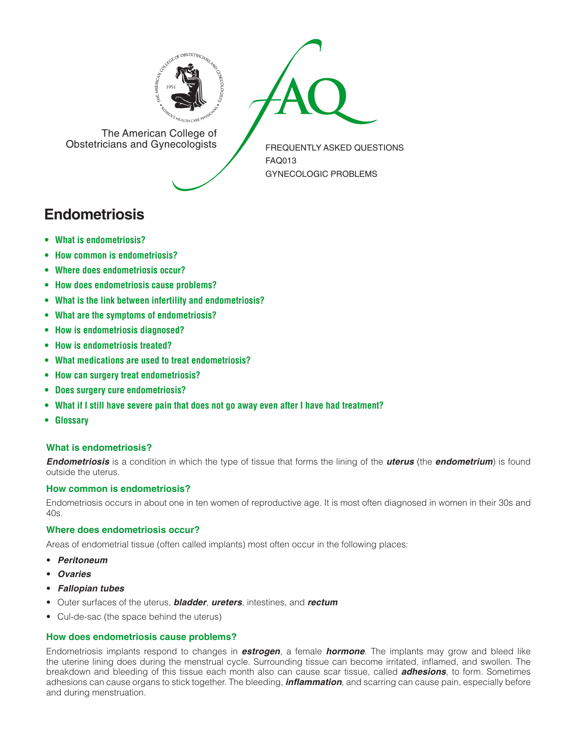



The American College of<br>Obstetricians and Gynecologists

FREQUENTLY ASKED QUESTIONS FAQ013 GYNECOLOGIC PROBLEMS

# **Endometriosis**

- **• What is [endometriosis?](#page-0-0)**
- **• How common is [endometriosis?](#page-0-1)**
- **• Where does [endometriosis](#page-0-2) occur?**
- **• How does [endometriosis](#page-0-3) cause problems?**
- **• What is the link between infertility and [endometriosis?](#page-1-0)**
- **• What are the symptoms of [endometriosis?](#page-1-1)**
- **• How is [endometriosis](#page-1-2) diagnosed?**
- **• How is [endometriosis](#page-1-3) treated?**
- **• What medications are used to treat [endometriosis?](#page-1-4)**
- **• How can surgery treat [endometriosis?](#page-1-5)**
- **• Does surgery cure [endometriosis?](#page-1-6)**
- **• What if I still have severe pain that does not go away even after I have had [treatment?](#page-1-7)**
- **[• Glossary](#page-1-8)**

# <span id="page-0-0"></span>**What is endometriosis?**

*Endometriosis* is a condition in which the type of tissue that forms the lining of the *uterus* (the *endometrium*) is found outside the uterus.

# <span id="page-0-1"></span>**How common is endometriosis?**

Endometriosis occurs in about one in ten women of reproductive age. It is most often diagnosed in women in their 30s and 40s.

# <span id="page-0-2"></span>**Where does endometriosis occur?**

Areas of endometrial tissue (often called implants) most often occur in the following places:

- • *Peritoneum*
- • *Ovaries*
- • *Fallopian tubes*
- • Outer surfaces of the uterus, *bladder*, *ureters*, intestines, and *rectum*
- Cul-de-sac (the space behind the uterus)

# <span id="page-0-3"></span>**How does endometriosis cause problems?**

Endometriosis implants respond to changes in *estrogen*, a female *hormone*. The implants may grow and bleed like the uterine lining does during the menstrual cycle. Surrounding tissue can become irritated, inflamed, and swollen. The breakdown and bleeding of this tissue each month also can cause scar tissue, called *adhesions*, to form. Sometimes adhesions can cause organs to stick together. The bleeding, *inflammation*, and scarring can cause pain, especially before and during menstruation.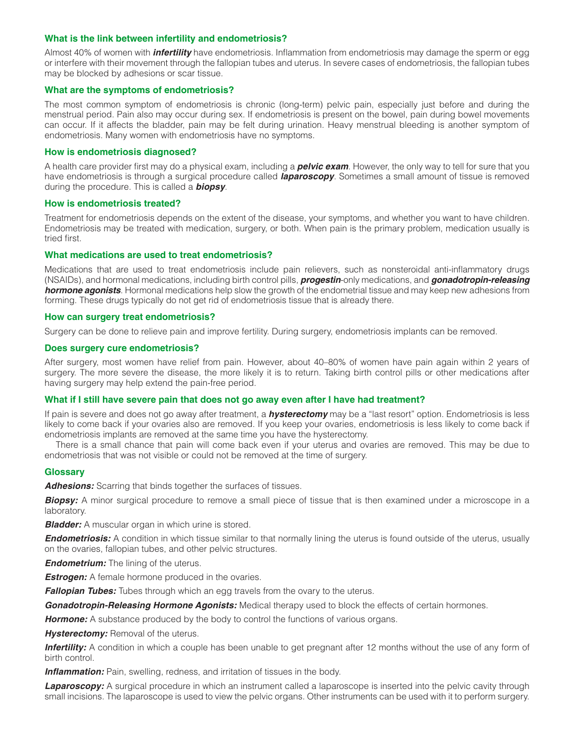## <span id="page-1-0"></span>**What is the link between infertility and endometriosis?**

Almost 40% of women with *infertility* have endometriosis. Inflammation from endometriosis may damage the sperm or egg or interfere with their movement through the fallopian tubes and uterus. In severe cases of endometriosis, the fallopian tubes may be blocked by adhesions or scar tissue.

### <span id="page-1-1"></span>**What are the symptoms of endometriosis?**

The most common symptom of endometriosis is chronic (long-term) pelvic pain, especially just before and during the menstrual period. Pain also may occur during sex. If endometriosis is present on the bowel, pain during bowel movements can occur. If it affects the bladder, pain may be felt during urination. Heavy menstrual bleeding is another symptom of endometriosis. Many women with endometriosis have no symptoms.

### <span id="page-1-2"></span>**How is endometriosis diagnosed?**

A health care provider first may do a physical exam, including a *pelvic exam*. However, the only way to tell for sure that you have endometriosis is through a surgical procedure called *laparoscopy*. Sometimes a small amount of tissue is removed during the procedure. This is called a *biopsy*.

### <span id="page-1-3"></span>**How is endometriosis treated?**

Treatment for endometriosis depends on the extent of the disease, your symptoms, and whether you want to have children. Endometriosis may be treated with medication, surgery, or both. When pain is the primary problem, medication usually is tried first.

## <span id="page-1-4"></span>**What medications are used to treat endometriosis?**

Medications that are used to treat endometriosis include pain relievers, such as nonsteroidal anti-inflammatory drugs (NSAIDs), and hormonal medications, including birth control pills, *progestin*-only medications, and *gonadotropin-releasing hormone agonists*. Hormonal medications help slow the growth of the endometrial tissue and may keep new adhesions from forming. These drugs typically do not get rid of endometriosis tissue that is already there.

## <span id="page-1-5"></span>**How can surgery treat endometriosis?**

Surgery can be done to relieve pain and improve fertility. During surgery, endometriosis implants can be removed.

#### <span id="page-1-6"></span>**Does surgery cure endometriosis?**

After surgery, most women have relief from pain. However, about 40–80% of women have pain again within 2 years of surgery. The more severe the disease, the more likely it is to return. Taking birth control pills or other medications after having surgery may help extend the pain-free period.

#### <span id="page-1-7"></span>**What if I still have severe pain that does not go away even after I have had treatment?**

If pain is severe and does not go away after treatment, a *hysterectomy* may be a "last resort" option. Endometriosis is less likely to come back if your ovaries also are removed. If you keep your ovaries, endometriosis is less likely to come back if endometriosis implants are removed at the same time you have the hysterectomy.

There is a small chance that pain will come back even if your uterus and ovaries are removed. This may be due to endometriosis that was not visible or could not be removed at the time of surgery.

#### <span id="page-1-8"></span>**Glossary**

*Adhesions:* Scarring that binds together the surfaces of tissues.

**Biopsy:** A minor surgical procedure to remove a small piece of tissue that is then examined under a microscope in a laboratory.

*Bladder:* A muscular organ in which urine is stored.

**Endometriosis:** A condition in which tissue similar to that normally lining the uterus is found outside of the uterus, usually on the ovaries, fallopian tubes, and other pelvic structures.

*Endometrium:* The lining of the uterus.

*Estrogen:* A female hormone produced in the ovaries.

*Fallopian Tubes:* Tubes through which an egg travels from the ovary to the uterus.

*Gonadotropin-Releasing Hormone Agonists:* Medical therapy used to block the effects of certain hormones.

**Hormone:** A substance produced by the body to control the functions of various organs.

**Hysterectomy:** Removal of the uterus.

**Infertility:** A condition in which a couple has been unable to get pregnant after 12 months without the use of any form of birth control.

**Inflammation:** Pain, swelling, redness, and irritation of tissues in the body.

**Laparoscopy:** A surgical procedure in which an instrument called a laparoscope is inserted into the pelvic cavity through small incisions. The laparoscope is used to view the pelvic organs. Other instruments can be used with it to perform surgery.